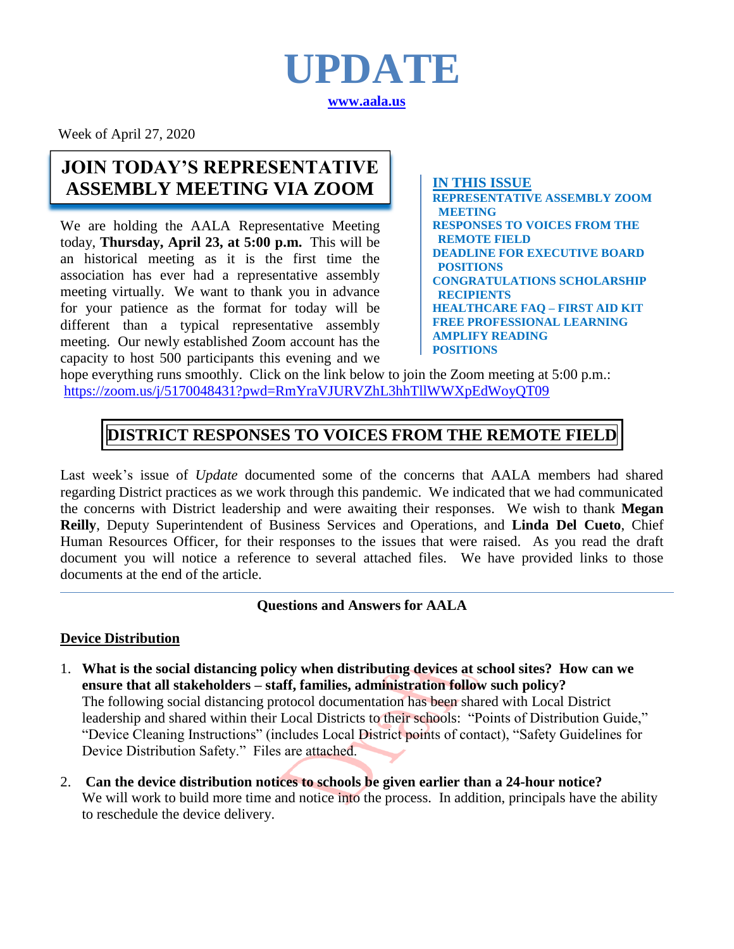

Week of April 27, 2020

# **JOIN TODAY'S REPRESENTATIVE ASSEMBLY MEETING VIA ZOOM I** IN THIS ISSUE

We are holding the AALA Representative Meeting today, **Thursday, April 23, at 5:00 p.m.** This will be an historical meeting as it is the first time the association has ever had a representative assembly meeting virtually. We want to thank you in advance for your patience as the format for today will be different than a typical representative assembly meeting. Our newly established Zoom account has the capacity to host 500 participants this evening and we

**REPRESENTATIVE ASSEMBLY ZOOM MEETING RESPONSES TO VOICES FROM THE REMOTE FIELD DEADLINE FOR EXECUTIVE BOARD POSITIONS CONGRATULATIONS SCHOLARSHIP RECIPIENTS HEALTHCARE FAQ – FIRST AID KIT FREE PROFESSIONAL LEARNING AMPLIFY READING POSITIONS**

hope everything runs smoothly. Click on the link below to join the Zoom meeting at 5:00 p.m.: <https://zoom.us/j/5170048431?pwd=RmYraVJURVZhL3hhTllWWXpEdWoyQT09> **POSITIONS**

# **DISTRICT RESPONSES TO VOICES FROM THE REMOTE FIELD**

Last week's issue of *Update* documented some of the concerns that AALA members had shared regarding District practices as we work through this pandemic. We indicated that we had communicated the concerns with District leadership and were awaiting their responses. We wish to thank **Megan Reilly**, Deputy Superintendent of Business Services and Operations, and **Linda Del Cueto**, Chief Human Resources Officer, for their responses to the issues that were raised. As you read the draft document you will notice a reference to several attached files. We have provided links to those documents at the end of the article.

## **Questions and Answers for AALA**

### **Device Distribution**

- 1. **What is the social distancing policy when distributing devices at school sites? How can we ensure that all stakeholders – staff, families, administration follow such policy?** The following social distancing protocol documentation has been shared with Local District leadership and shared within their Local Districts to their schools: "Points of Distribution Guide," "Device Cleaning Instructions" (includes Local District points of contact), "Safety Guidelines for Device Distribution Safety." Files are attached.
- 2. **Can the device distribution notices to schools be given earlier than a 24-hour notice?** We will work to build more time and notice into the process. In addition, principals have the ability to reschedule the device delivery.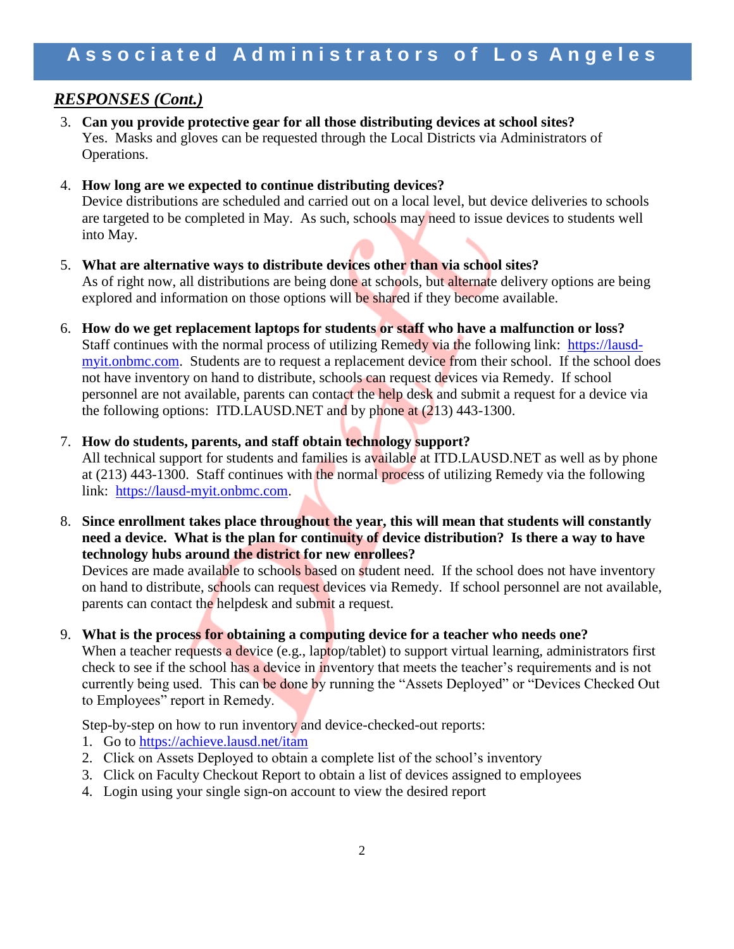# *RESPONSES (Cont.)*

3. **Can you provide protective gear for all those distributing devices at school sites?** Yes. Masks and gloves can be requested through the Local Districts via Administrators of Operations.

### 4. **How long are we expected to continue distributing devices?**

Device distributions are scheduled and carried out on a local level, but device deliveries to schools are targeted to be completed in May. As such, schools may need to issue devices to students well into May.

- 5. **What are alternative ways to distribute devices other than via school sites?** As of right now, all distributions are being done at schools, but alternate delivery options are being explored and information on those options will be shared if they become available.
- 6. **How do we get replacement laptops for students or staff who have a malfunction or loss?** Staff continues with the normal process of utilizing Remedy via the following link: [https://lausd](https://lausd-myit.onbmc.com/)[myit.onbmc.com.](https://lausd-myit.onbmc.com/) Students are to request a replacement device from their school. If the school does not have inventory on hand to distribute, schools can request devices via Remedy. If school personnel are not available, parents can contact the help desk and submit a request for a device via the following options: ITD.LAUSD.NET and by phone at (213) 443-1300.

### 7. **How do students, parents, and staff obtain technology support?**

All technical support for students and families is available at ITD.LAUSD.NET as well as by phone at (213) 443-1300. Staff continues with the normal process of utilizing Remedy via the following link: [https://lausd-myit.onbmc.com.](https://lausd-myit.onbmc.com/)

8. **Since enrollment takes place throughout the year, this will mean that students will constantly need a device. What is the plan for continuity of device distribution? Is there a way to have technology hubs around the district for new enrollees?**

Devices are made available to schools based on student need. If the school does not have inventory on hand to distribute, schools can request devices via Remedy. If school personnel are not available, parents can contact the helpdesk and submit a request.

#### 9. **What is the process for obtaining a computing device for a teacher who needs one?**

When a teacher requests a device (e.g., laptop/tablet) to support virtual learning, administrators first check to see if the school has a device in inventory that meets the teacher's requirements and is not currently being used. This can be done by running the "Assets Deployed" or "Devices Checked Out to Employees" report in Remedy.

Step-by-step on how to run inventory and device-checked-out reports:

- 1. Go to<https://achieve.lausd.net/itam>
- 2. Click on Assets Deployed to obtain a complete list of the school's inventory
- 3. Click on Faculty Checkout Report to obtain a list of devices assigned to employees
- 4. Login using your single sign-on account to view the desired report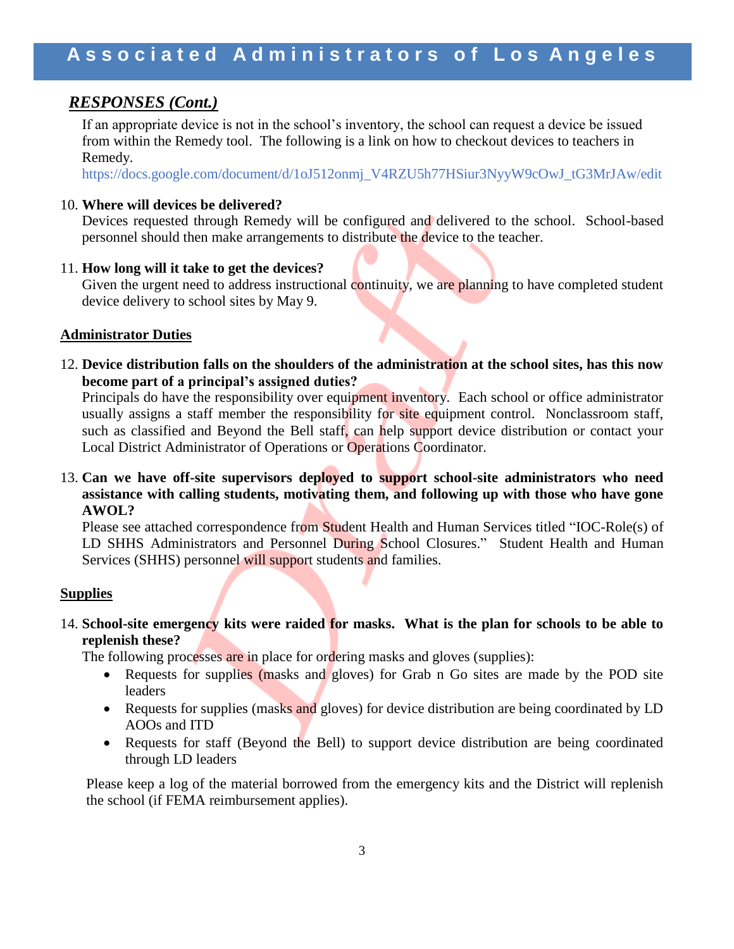## *RESPONSES (Cont.)*

If an appropriate device is not in the school's inventory, the school can request a device be issued from within the Remedy tool. The following is a link on how to checkout devices to teachers in Remedy.

[https://docs.google.com/document/d/1oJ512onmj\\_V4RZU5h77HSiur3NyyW9cOwJ\\_tG3MrJA](https://nam03.safelinks.protection.outlook.com/?url=https%3A%2F%2Fdocs.google.com%2Fdocument%2Fd%2F1oJ512onmj_V4RZU5h77HSiur3NyyW9cOwJ_tG3MrJAw%2Fedit&data=02%7C01%7Cmcamacho%40lausd.net%7C6d332bc4fcd844f0ad7b08d7e1642c87%7C042a40a1b1284ac48648016ffa121487%7C0%7C0%7C637225692683260954&sdata=OzWtzdpYVRQMXQVA4j9iEdZ3uV90PTnpp7GolnVvmLw%3D&reserved=0)w/edit

### 10. **Where will devices be delivered?**

Devices requested through Remedy will be configured and delivered to the school. School-based personnel should then make arrangements to distribute the device to the teacher.

11. **How long will it take to get the devices?**

Given the urgent need to address instructional continuity, we are planning to have completed student device delivery to school sites by May 9.

### **Administrator Duties**

12. **Device distribution falls on the shoulders of the administration at the school sites, has this now become part of a principal's assigned duties?**

Principals do have the responsibility over equipment inventory. Each school or office administrator usually assigns a staff member the responsibility for site equipment control. Nonclassroom staff, such as classified and Beyond the Bell staff, can help support device distribution or contact your Local District Administrator of Operations or Operations Coordinator.

13. **Can we have off-site supervisors deployed to support school-site administrators who need assistance with calling students, motivating them, and following up with those who have gone AWOL?**

Please see attached correspondence from Student Health and Human Services titled "IOC-Role(s) of LD SHHS Administrators and Personnel During School Closures." Student Health and Human Services (SHHS) personnel will support students and families.

### **Supplies**

### 14. **School-site emergency kits were raided for masks. What is the plan for schools to be able to replenish these?**

The following processes are in place for ordering masks and gloves (supplies):

- Requests for supplies (masks and gloves) for Grab n Go sites are made by the POD site leaders
- Requests for supplies (masks and gloves) for device distribution are being coordinated by LD AOOs and ITD
- Requests for staff (Beyond the Bell) to support device distribution are being coordinated through LD leaders

Please keep a log of the material borrowed from the emergency kits and the District will replenish the school (if FEMA reimbursement applies).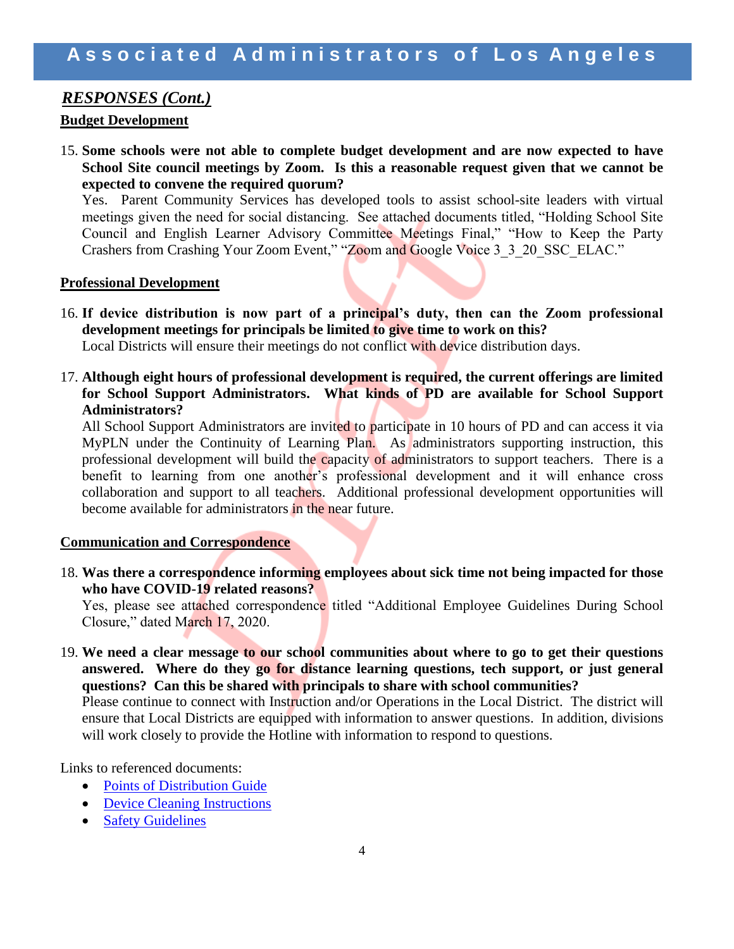### *RESPONSES (Cont.)*

### **Budget Development**

15. **Some schools were not able to complete budget development and are now expected to have School Site council meetings by Zoom. Is this a reasonable request given that we cannot be expected to convene the required quorum?**

Yes. Parent Community Services has developed tools to assist school-site leaders with virtual meetings given the need for social distancing. See attached documents titled, "Holding School Site Council and English Learner Advisory Committee Meetings Final," "How to Keep the Party Crashers from Crashing Your Zoom Event," "Zoom and Google Voice 3\_3\_20\_SSC\_ELAC."

#### **Professional Development**

- 16. **If device distribution is now part of a principal's duty, then can the Zoom professional development meetings for principals be limited to give time to work on this?** Local Districts will ensure their meetings do not conflict with device distribution days.
- 17. **Although eight hours of professional development is required, the current offerings are limited for School Support Administrators. What kinds of PD are available for School Support Administrators?**

All School Support Administrators are invited to participate in 10 hours of PD and can access it via MyPLN under the Continuity of Learning Plan. As administrators supporting instruction, this professional development will build the capacity of administrators to support teachers. There is a benefit to learning from one another's professional development and it will enhance cross collaboration and support to all teachers. Additional professional development opportunities will become available for administrators in the near future.

#### **Communication and Correspondence**

18. **Was there a correspondence informing employees about sick time not being impacted for those who have COVID-19 related reasons?**

Yes, please see attached correspondence titled "Additional Employee Guidelines During School Closure," dated March 17, 2020.

19. **We need a clear message to our school communities about where to go to get their questions answered. Where do they go for distance learning questions, tech support, or just general questions? Can this be shared with principals to share with school communities?**

Please continue to connect with Instruction and/or Operations in the Local District. The district will ensure that Local Districts are equipped with information to answer questions. In addition, divisions will work closely to provide the Hotline with information to respond to questions.

Links to referenced documents:

- [Points of Distribution Guide](http://www.aala.us/docs/2020/04/032920_Points_of_Distribution_Guide.pdf)
- [Device Cleaning Instructions](http://www.aala.us/docs/2020/04/Device_Cleaning_Instructions.pdf)
- [Safety Guidelines](http://www.aala.us/docs/2020/04/032920_Safety_Guidelines.pdf)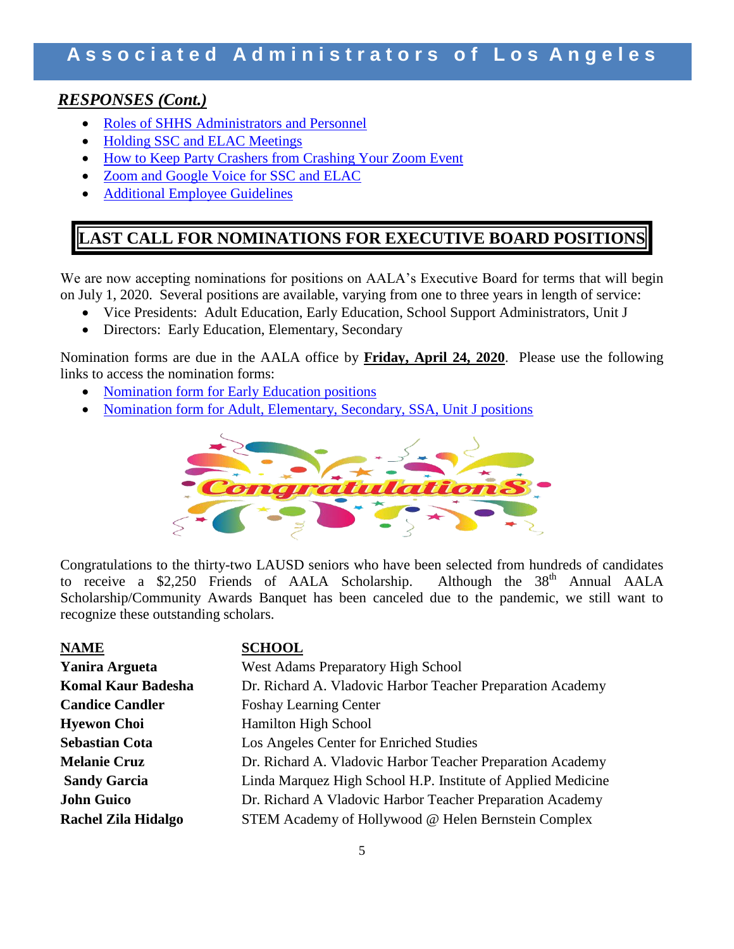# Associated Administrators of Los Angeles

### *RESPONSES (Cont.)*

- [Roles of SHHS Administrators and Personnel](http://www.aala.us/docs/2020/04/IOC-ROLES-OF-LD-SHHS-ADMINISTRATORS-AND-PERSONNEL-DURING-SCHOOL-CLOSURES.pdf)
- [Holding SSC and ELAC Meetings](http://www.aala.us/docs/2020/04/Holding-School-Site-Council-and-English-Learner-Advisory-Committee-Meetings-Final.pdf)
- [How to Keep Party Crashers from Crashing Your Zoom Event](http://www.aala.us/docs/2020/04/How-to-Keep-the-Party-Crashers-from-Crashing-Your-Zoom-Event.pdf)
- [Zoom and Google Voice for SSC and ELAC](http://www.aala.us/docs/2020/04/Zoom-and-Google-Voice-3_30_20_SSC_ELAC.pdf)
- [Additional Employee Guidelines](http://www.aala.us/docs/2020/04/Additional-Employee-Guidelines-During-School-Closure.pdf)

# **LAST CALL FOR NOMINATIONS FOR EXECUTIVE BOARD POSITIONS**

We are now accepting nominations for positions on AALA's Executive Board for terms that will begin on July 1, 2020. Several positions are available, varying from one to three years in length of service:

- Vice Presidents: Adult Education, Early Education, School Support Administrators, Unit J
- Directors: Early Education, Elementary, Secondary

Nomination forms are due in the AALA office by **Friday, April 24, 2020**. Please use the following links to access the nomination forms:

- [Nomination form for Early Education positions](http://www.aala.us/docs/2020/04/AALA-EXECUTIVE-BOARD-BALLOT-FOR-EARLY-EDUCATION-2020-ELECTION.pdf)
- [Nomination form for Adult, Elementary, Secondary, SSA, Unit J positions](http://www.aala.us/docs/2020/04/AALA-EXECUTIVE-BOARD-BALLOT-FOR-2020-2023-FINAL-1.pdf)



Congratulations to the thirty-two LAUSD seniors who have been selected from hundreds of candidates to receive a \$2,250 Friends of AALA Scholarship. Although the  $38<sup>th</sup>$  Annual AALA Scholarship/Community Awards Banquet has been canceled due to the pandemic, we still want to recognize these outstanding scholars.

| <b>NAME</b>                | <b>SCHOOL</b>                                                |
|----------------------------|--------------------------------------------------------------|
| <b>Yanira Argueta</b>      | <b>West Adams Preparatory High School</b>                    |
| <b>Komal Kaur Badesha</b>  | Dr. Richard A. Vladovic Harbor Teacher Preparation Academy   |
| <b>Candice Candler</b>     | <b>Foshay Learning Center</b>                                |
| <b>Hyewon Choi</b>         | <b>Hamilton High School</b>                                  |
| <b>Sebastian Cota</b>      | Los Angeles Center for Enriched Studies                      |
| <b>Melanie Cruz</b>        | Dr. Richard A. Vladovic Harbor Teacher Preparation Academy   |
| <b>Sandy Garcia</b>        | Linda Marquez High School H.P. Institute of Applied Medicine |
| <b>John Guico</b>          | Dr. Richard A Vladovic Harbor Teacher Preparation Academy    |
| <b>Rachel Zila Hidalgo</b> | STEM Academy of Hollywood @ Helen Bernstein Complex          |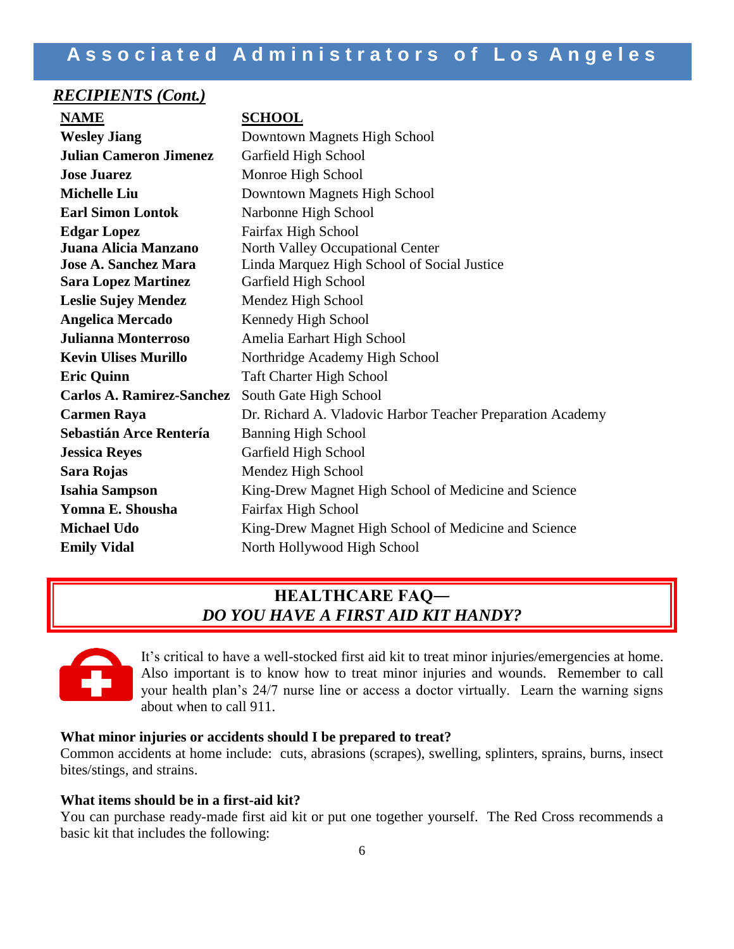### *RECIPIENTS (Cont.)*

| <b>NAME</b>                      | <b>SCHOOL</b>                                              |
|----------------------------------|------------------------------------------------------------|
| <b>Wesley Jiang</b>              | Downtown Magnets High School                               |
| <b>Julian Cameron Jimenez</b>    | Garfield High School                                       |
| <b>Jose Juarez</b>               | Monroe High School                                         |
| <b>Michelle Liu</b>              | Downtown Magnets High School                               |
| <b>Earl Simon Lontok</b>         | Narbonne High School                                       |
| <b>Edgar Lopez</b>               | Fairfax High School                                        |
| Juana Alicia Manzano             | North Valley Occupational Center                           |
| <b>Jose A. Sanchez Mara</b>      | Linda Marquez High School of Social Justice                |
| <b>Sara Lopez Martinez</b>       | Garfield High School                                       |
| <b>Leslie Sujey Mendez</b>       | Mendez High School                                         |
| <b>Angelica Mercado</b>          | Kennedy High School                                        |
| <b>Julianna Monterroso</b>       | Amelia Earhart High School                                 |
| <b>Kevin Ulises Murillo</b>      | Northridge Academy High School                             |
| <b>Eric Quinn</b>                | <b>Taft Charter High School</b>                            |
| <b>Carlos A. Ramirez-Sanchez</b> | South Gate High School                                     |
| <b>Carmen Raya</b>               | Dr. Richard A. Vladovic Harbor Teacher Preparation Academy |
| Sebastián Arce Rentería          | <b>Banning High School</b>                                 |
| <b>Jessica Reyes</b>             | Garfield High School                                       |
| Sara Rojas                       | Mendez High School                                         |
| <b>Isahia Sampson</b>            | King-Drew Magnet High School of Medicine and Science       |
| Yomna E. Shousha                 | Fairfax High School                                        |
| <b>Michael Udo</b>               | King-Drew Magnet High School of Medicine and Science       |
| <b>Emily Vidal</b>               | North Hollywood High School                                |

# **HEALTHCARE FAQ―** *DO YOU HAVE A FIRST AID KIT HANDY?*



It's critical to have a well-stocked first aid kit to treat minor injuries/emergencies at home. Also important is to know how to treat minor injuries and wounds. Remember to call your health plan's 24/7 nurse line or access a doctor virtually. Learn the warning signs about when to call 911.

### **What minor injuries or accidents should I be prepared to treat?**

Common accidents at home include: cuts, abrasions (scrapes), swelling, splinters, sprains, burns, insect bites/stings, and strains.

#### **What items should be in a first-aid kit?**

You can purchase ready-made first aid kit or put one together yourself. The Red Cross recommends a basic kit that includes the following: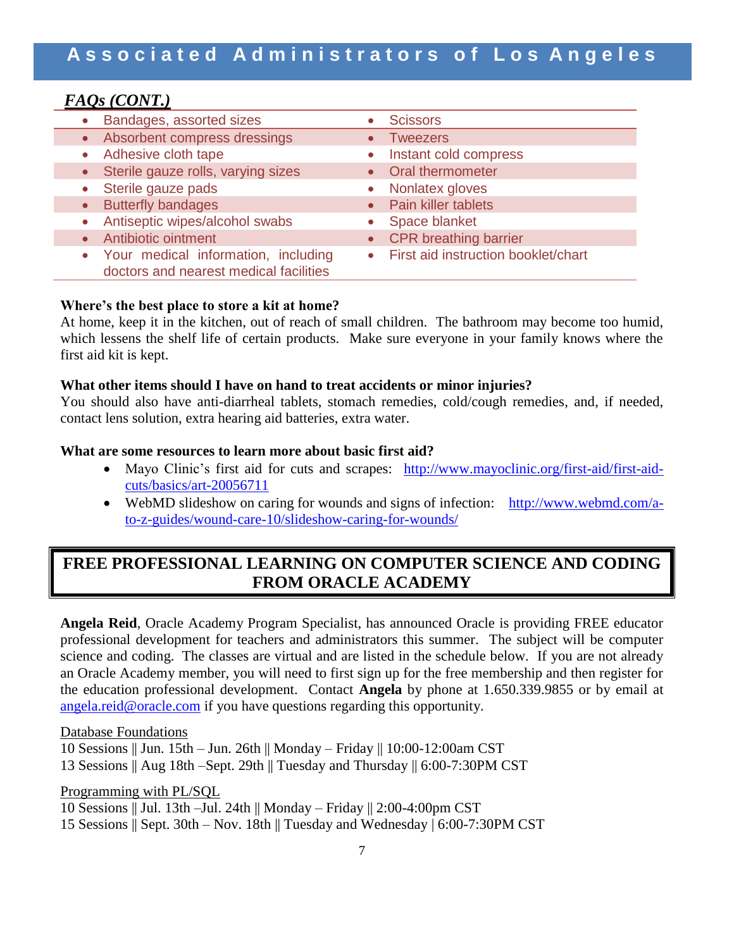### *FAQs (CONT.)*

| • Bandages, assorted sizes                                                      | <b>Scissors</b>                       |
|---------------------------------------------------------------------------------|---------------------------------------|
| • Absorbent compress dressings                                                  | <b>Tweezers</b>                       |
| • Adhesive cloth tape                                                           | • Instant cold compress               |
| • Sterile gauze rolls, varying sizes                                            | • Oral thermometer                    |
| Sterile gauze pads<br>$\bullet$                                                 | • Nonlatex gloves                     |
| • Butterfly bandages                                                            | • Pain killer tablets                 |
| Antiseptic wipes/alcohol swabs<br>$\bullet$                                     | • Space blanket                       |
| <b>Antibiotic ointment</b><br>$\bullet$                                         | • CPR breathing barrier               |
| • Your medical information, including<br>doctors and nearest medical facilities | • First aid instruction booklet/chart |

### **Where's the best place to store a kit at home?**

At home, keep it in the kitchen, out of reach of small children. The bathroom may become too humid, which lessens the shelf life of certain products. Make sure everyone in your family knows where the first aid kit is kept.

#### **What other items should I have on hand to treat accidents or minor injuries?**

You should also have anti-diarrheal tablets, stomach remedies, cold/cough remedies, and, if needed, contact lens solution, extra hearing aid batteries, extra water.

#### **What are some resources to learn more about basic first aid?**

- Mayo Clinic's first aid for cuts and scrapes: [http://www.mayoclinic.org/first-aid/first-aid](http://www.mayoclinic.org/first-aid/first-aid-cuts/basics/art-20056711)[cuts/basics/art-20056711](http://www.mayoclinic.org/first-aid/first-aid-cuts/basics/art-20056711)
- WebMD slideshow on caring for wounds and signs of infection:[http://www.webmd.com/a](http://www.webmd.com/a-to-z-guides/wound-care-10/slideshow-caring-for-wounds/)[to-z-guides/wound-care-10/slideshow-caring-for-wounds/](http://www.webmd.com/a-to-z-guides/wound-care-10/slideshow-caring-for-wounds/)

# **FREE PROFESSIONAL LEARNING ON COMPUTER SCIENCE AND CODING FROM ORACLE ACADEMY**

**Angela Reid**, Oracle Academy Program Specialist, has announced Oracle is providing FREE educator professional development for teachers and administrators this summer. The subject will be computer science and coding. The classes are virtual and are listed in the schedule below. If you are not already an Oracle Academy member, you will need to first sign up for the free membership and then register for the education professional development. Contact **Angela** by phone at 1.650.339.9855 or by email at [angela.reid@oracle.com](mailto:angela.reid@oracle.com) if you have questions regarding this opportunity.

#### Database Foundations

10 Sessions || Jun. 15th – Jun. 26th || Monday – Friday || 10:00-12:00am CST 13 Sessions || Aug 18th –Sept. 29th || Tuesday and Thursday || 6:00-7:30PM CST

#### Programming with PL/SQL

- 10 Sessions || Jul. 13th –Jul. 24th || Monday Friday || 2:00-4:00pm CST
- 15 Sessions || Sept. 30th Nov. 18th || Tuesday and Wednesday | 6:00-7:30PM CST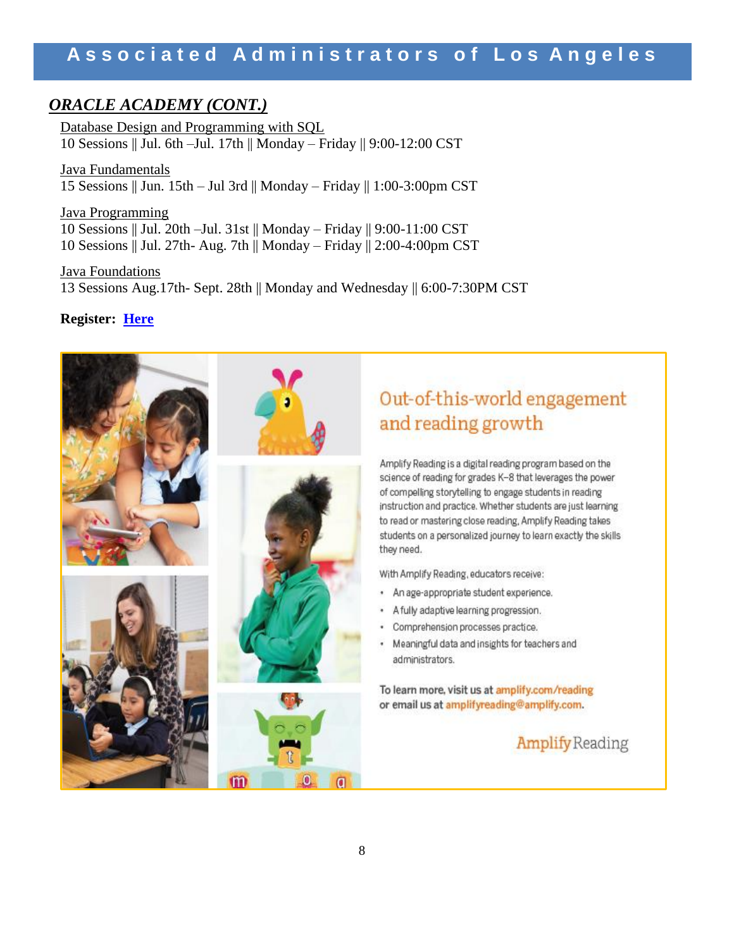## *ORACLE ACADEMY (CONT.)*

Database Design and Programming with SQL 10 Sessions || Jul. 6th –Jul. 17th || Monday – Friday || 9:00-12:00 CST

Java Fundamentals 15 Sessions || Jun. 15th – Jul 3rd || Monday – Friday || 1:00-3:00pm CST

Java Programming 10 Sessions || Jul. 20th –Jul. 31st || Monday – Friday || 9:00-11:00 CST 10 Sessions || Jul. 27th- Aug. 7th || Monday – Friday || 2:00-4:00pm CST

Java Foundations 13 Sessions Aug.17th- Sept. 28th || Monday and Wednesday || 6:00-7:30PM CST

### **Register: [Here](https://nam03.safelinks.protection.outlook.com/?url=https%3A%2F%2Facademy.oracle.com%2Fen%2Fabout-events-calendar.html%3Fsource%3D%3Aem%3Aeo%3Aie%3Acpo%3ARC_HRMK190604P00079C0001%3ASEV400044402%26elq_mid%3D159280%26sh%3D070209262409122416220707150435073018%26cmid%3DHRMK190604P00079C0001&data=02%7C01%7Cjuan.flecha%40lausd.net%7C98880240b5ac4698a8e508d7e245c659%7C042a40a1b1284ac48648016ffa121487%7C0%7C0%7C637226661610517654&sdata=LBOnJ1vna%2Ba9eU9MdRko5jfSWuqHYM4HvuDCzRVwl%2BM%3D&reserved=0)**

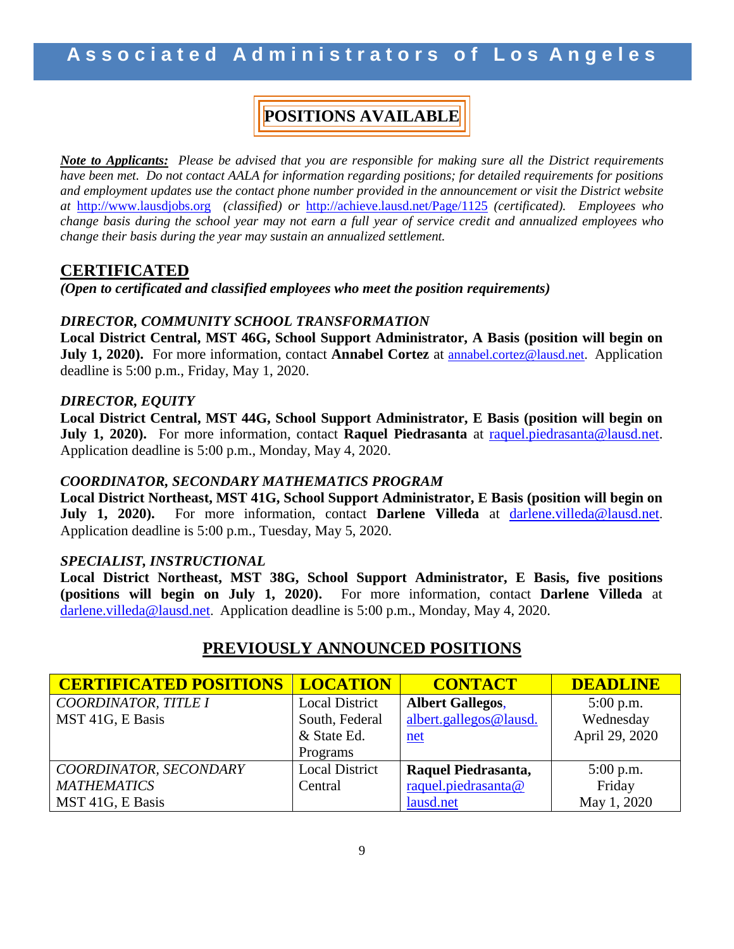# **POSITIONS AVAILABLE**

*Note to Applicants: Please be advised that you are responsible for making sure all the District requirements have been met. Do not contact AALA for information regarding positions; for detailed requirements for positions and employment updates use the contact phone number provided in the announcement or visit the District website at* [http://www.lausdjobs.org](http://www.lausdjobs.org/) *(classified) or* <http://achieve.lausd.net/Page/1125> *(certificated). Employees who change basis during the school year may not earn a full year of service credit and annualized employees who change their basis during the year may sustain an annualized settlement.* 

### **CERTIFICATED**

*(Open to certificated and classified employees who meet the position requirements)*

### *DIRECTOR, COMMUNITY SCHOOL TRANSFORMATION*

**Local District Central, MST 46G, School Support Administrator, A Basis (position will begin on July 1, 2020).** For more information, contact **Annabel Cortez** at [annabel.cortez@lausd.net.](mailto:annabel.cortez@lausd.net) Application deadline is 5:00 p.m., Friday, May 1, 2020.

### *DIRECTOR, EQUITY*

**Local District Central, MST 44G, School Support Administrator, E Basis (position will begin on July 1, 2020).** For more information, contact **Raquel Piedrasanta** at [raquel.piedrasanta@lausd.net.](mailto:raquel.piedrasanta@lausd.net) Application deadline is 5:00 p.m., Monday, May 4, 2020.

### *COORDINATOR, SECONDARY MATHEMATICS PROGRAM*

**Local District Northeast, MST 41G, School Support Administrator, E Basis (position will begin on July 1, 2020).** For more information, contact **Darlene Villeda** at [darlene.villeda@lausd.net](mailto:darlene.villeda@lausd.net). Application deadline is 5:00 p.m., Tuesday, May 5, 2020.

### *SPECIALIST, INSTRUCTIONAL*

**Local District Northeast, MST 38G, School Support Administrator, E Basis, five positions (positions will begin on July 1, 2020).** For more information, contact **Darlene Villeda** at [darlene.villeda@lausd.net](mailto:darlene.villeda@lausd.net). Application deadline is 5:00 p.m., Monday, May 4, 2020.

# **PREVIOUSLY ANNOUNCED POSITIONS**

| <b>CERTIFICATED POSITIONS</b> | <b>LOCATION</b>       | <b>CONTACT</b>          | <b>DEADLINE</b> |
|-------------------------------|-----------------------|-------------------------|-----------------|
| COORDINATOR, TITLE I          | <b>Local District</b> | <b>Albert Gallegos,</b> | $5:00$ p.m.     |
| MST 41G, E Basis              | South, Federal        | albert.gallegos@lausd.  | Wednesday       |
|                               | & State Ed.           | $net$                   | April 29, 2020  |
|                               | Programs              |                         |                 |
| COORDINATOR, SECONDARY        | <b>Local District</b> | Raquel Piedrasanta,     | $5:00$ p.m.     |
| <b>MATHEMATICS</b>            | Central               | raquel.piedrasanta@     | Friday          |
| MST 41G, E Basis              |                       | lausd.net               | May 1, 2020     |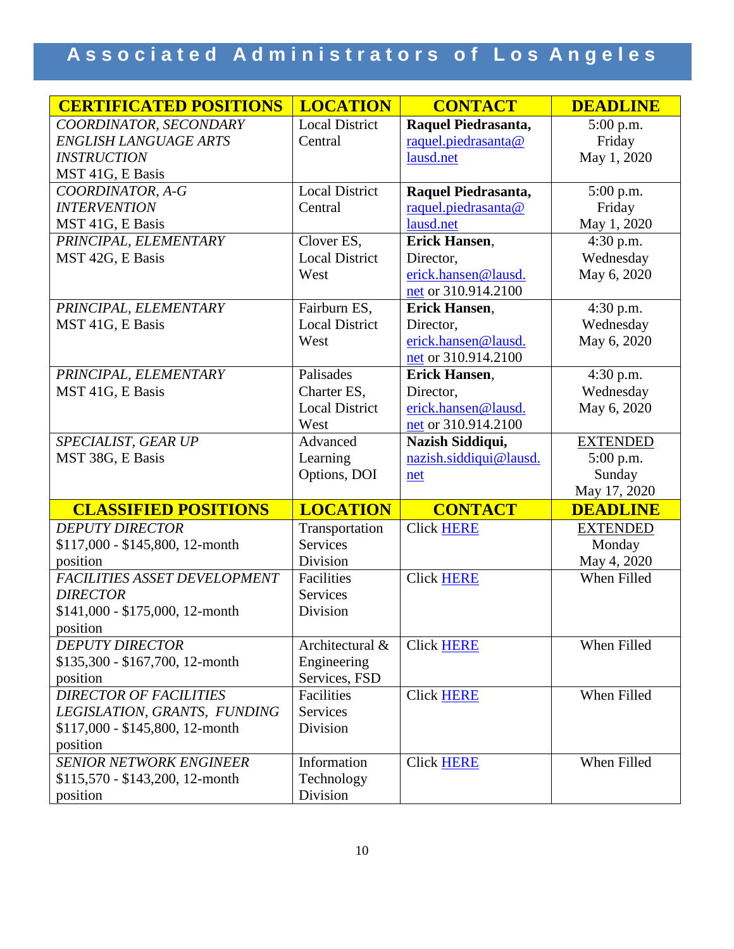# Associated Administrators of Los Angeles

| <b>CERTIFICATED POSITIONS</b>    | <b>LOCATION</b>       | <b>CONTACT</b>         | <b>DEADLINE</b> |
|----------------------------------|-----------------------|------------------------|-----------------|
| COORDINATOR, SECONDARY           | <b>Local District</b> | Raquel Piedrasanta,    | 5:00 p.m.       |
| <b>ENGLISH LANGUAGE ARTS</b>     | Central               | raquel.piedrasanta@    | Friday          |
| <b>INSTRUCTION</b>               |                       | lausd.net              | May 1, 2020     |
| MST 41G, E Basis                 |                       |                        |                 |
| COORDINATOR, A-G                 | <b>Local District</b> | Raquel Piedrasanta,    | 5:00 p.m.       |
| <b>INTERVENTION</b>              | Central               | raquel.piedrasanta@    | Friday          |
| MST 41G, E Basis                 |                       | lausd.net              | May 1, 2020     |
| PRINCIPAL, ELEMENTARY            | Clover ES,            | Erick Hansen,          | 4:30 p.m.       |
| MST 42G, E Basis                 | <b>Local District</b> | Director,              | Wednesday       |
|                                  | West                  | erick.hansen@lausd.    | May 6, 2020     |
|                                  |                       | net or 310.914.2100    |                 |
| PRINCIPAL, ELEMENTARY            | Fairburn ES,          | Erick Hansen,          | 4:30 p.m.       |
| MST 41G, E Basis                 | <b>Local District</b> | Director,              | Wednesday       |
|                                  | West                  | erick.hansen@lausd.    | May 6, 2020     |
|                                  |                       | net or 310.914.2100    |                 |
| PRINCIPAL, ELEMENTARY            | Palisades             | <b>Erick Hansen,</b>   | 4:30 p.m.       |
| MST 41G, E Basis                 | Charter ES,           | Director,              | Wednesday       |
|                                  | <b>Local District</b> | erick.hansen@lausd.    | May 6, 2020     |
|                                  | West                  | net or 310.914.2100    |                 |
| SPECIALIST, GEAR UP              | Advanced              | Nazish Siddiqui,       | <b>EXTENDED</b> |
| MST 38G, E Basis                 | Learning              | nazish.siddiqui@lausd. | 5:00 p.m.       |
|                                  | Options, DOI          | net                    | Sunday          |
|                                  |                       |                        | May 17, 2020    |
| <b>CLASSIFIED POSITIONS</b>      | <b>LOCATION</b>       | <b>CONTACT</b>         | <b>DEADLINE</b> |
| <b>DEPUTY DIRECTOR</b>           | Transportation        | <b>Click HERE</b>      | <b>EXTENDED</b> |
| \$117,000 - \$145,800, 12-month  | <b>Services</b>       |                        | Monday          |
| position                         | Division              |                        | May 4, 2020     |
| FACILITIES ASSET DEVELOPMENT     | Facilities            | <b>Click HERE</b>      | When Filled     |
| <b>DIRECTOR</b>                  | Services              |                        |                 |
| $$141,000 - $175,000, 12$ -month | Division              |                        |                 |
| position                         |                       |                        |                 |
| <b>DEPUTY DIRECTOR</b>           | Architectural &       | <b>Click HERE</b>      | When Filled     |
| \$135,300 - \$167,700, 12-month  | Engineering           |                        |                 |
| position                         | Services, FSD         |                        |                 |
| <b>DIRECTOR OF FACILITIES</b>    | Facilities            | <b>Click HERE</b>      | When Filled     |
| LEGISLATION, GRANTS, FUNDING     | Services              |                        |                 |
| \$117,000 - \$145,800, 12-month  | Division              |                        |                 |
| position                         |                       |                        |                 |
| <b>SENIOR NETWORK ENGINEER</b>   | Information           | <b>Click HERE</b>      | When Filled     |
| $$115,570 - $143,200, 12$ -month | Technology            |                        |                 |
| position                         | Division              |                        |                 |